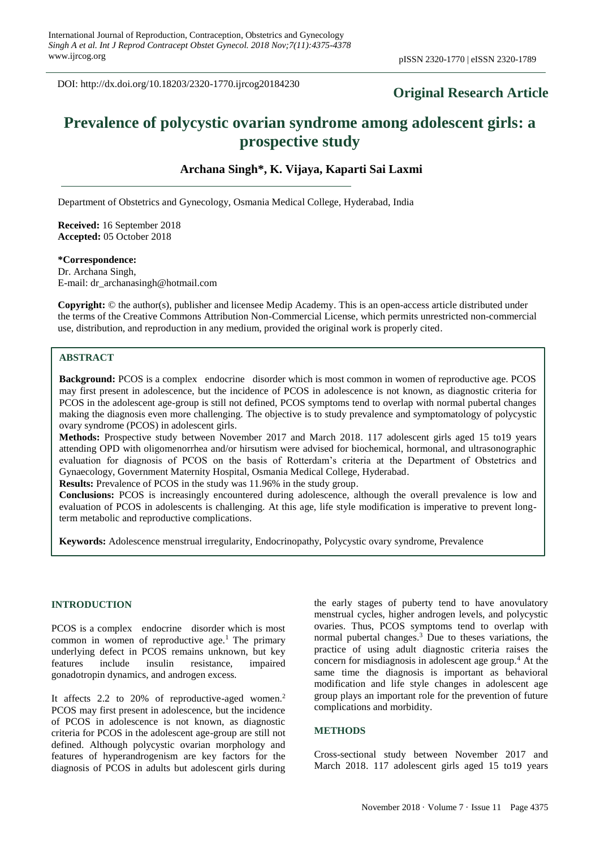DOI: http://dx.doi.org/10.18203/2320-1770.ijrcog20184230

# **Original Research Article**

# **Prevalence of polycystic ovarian syndrome among adolescent girls: a prospective study**

**Archana Singh\*, K. Vijaya, Kaparti Sai Laxmi**

Department of Obstetrics and Gynecology, Osmania Medical College, Hyderabad, India

**Received:** 16 September 2018 **Accepted:** 05 October 2018

# **\*Correspondence:**

Dr. Archana Singh, E-mail: dr\_archanasingh@hotmail.com

**Copyright:** © the author(s), publisher and licensee Medip Academy. This is an open-access article distributed under the terms of the Creative Commons Attribution Non-Commercial License, which permits unrestricted non-commercial use, distribution, and reproduction in any medium, provided the original work is properly cited.

# **ABSTRACT**

**Background:** PCOS is a complex endocrine disorder which is most common in women of reproductive age. PCOS may first present in adolescence, but the incidence of PCOS in adolescence is not known, as diagnostic criteria for PCOS in the adolescent age-group is still not defined, PCOS symptoms tend to overlap with normal pubertal changes making the diagnosis even more challenging. The objective is to study prevalence and symptomatology of polycystic ovary syndrome (PCOS) in adolescent girls.

**Methods:** Prospective study between November 2017 and March 2018. 117 adolescent girls aged 15 to19 years attending OPD with oligomenorrhea and/or hirsutism were advised for biochemical, hormonal, and ultrasonographic evaluation for diagnosis of PCOS on the basis of Rotterdam's criteria at the Department of Obstetrics and Gynaecology, Government Maternity Hospital, Osmania Medical College, Hyderabad.

**Results:** Prevalence of PCOS in the study was 11.96% in the study group.

**Conclusions:** PCOS is increasingly encountered during adolescence, although the overall prevalence is low and evaluation of PCOS in adolescents is challenging. At this age, life style modification is imperative to prevent longterm metabolic and reproductive complications.

**Keywords:** Adolescence menstrual irregularity, Endocrinopathy, Polycystic ovary syndrome, Prevalence

#### **INTRODUCTION**

PCOS is a complex endocrine disorder which is most common in women of reproductive age.<sup>1</sup> The primary underlying defect in PCOS remains unknown, but key features include insulin resistance, impaired gonadotropin dynamics, and androgen excess.

It affects 2.2 to 20% of reproductive-aged women.<sup>2</sup> PCOS may first present in adolescence, but the incidence of PCOS in adolescence is not known, as diagnostic criteria for PCOS in the adolescent age-group are still not defined. Although polycystic ovarian morphology and features of hyperandrogenism are key factors for the diagnosis of PCOS in adults but adolescent girls during the early stages of puberty tend to have anovulatory menstrual cycles, higher androgen levels, and polycystic ovaries. Thus, PCOS symptoms tend to overlap with normal pubertal changes.<sup>3</sup> Due to theses variations, the practice of using adult diagnostic criteria raises the concern for misdiagnosis in adolescent age group.<sup>4</sup> At the same time the diagnosis is important as behavioral modification and life style changes in adolescent age group plays an important role for the prevention of future complications and morbidity.

#### **METHODS**

Cross-sectional study between November 2017 and March 2018. 117 adolescent girls aged 15 to19 years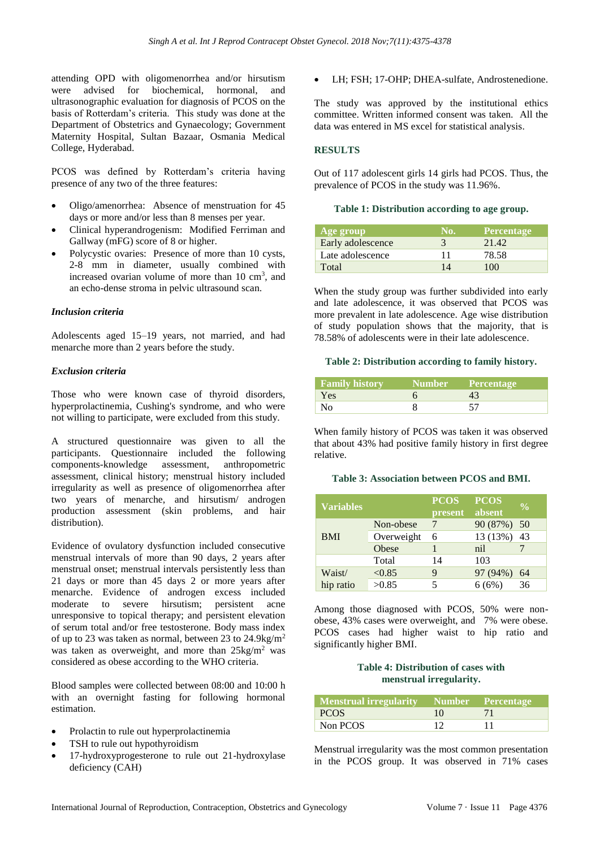attending OPD with oligomenorrhea and/or hirsutism were advised for biochemical, hormonal, and ultrasonographic evaluation for diagnosis of PCOS on the basis of Rotterdam's criteria. This study was done at the Department of Obstetrics and Gynaecology; Government Maternity Hospital, Sultan Bazaar, Osmania Medical College, Hyderabad.

PCOS was defined by Rotterdam's criteria having presence of any two of the three features:

- Oligo/amenorrhea: Absence of menstruation for 45 days or more and/or less than 8 menses per year.
- Clinical hyperandrogenism: Modified Ferriman and Gallway (mFG) score of 8 or higher.
- Polycystic ovaries: Presence of more than 10 cysts, 2-8 mm in diameter, usually combined with increased ovarian volume of more than 10 cm<sup>3</sup> , and an echo-dense stroma in pelvic ultrasound scan.

#### *Inclusion criteria*

Adolescents aged 15–19 years, not married, and had menarche more than 2 years before the study.

#### *Exclusion criteria*

Those who were known case of thyroid disorders, hyperprolactinemia, Cushing's syndrome, and who were not willing to participate, were excluded from this study.

A structured questionnaire was given to all the participants. Questionnaire included the following components-knowledge assessment, anthropometric assessment, clinical history; menstrual history included irregularity as well as presence of oligomenorrhea after two years of menarche, and hirsutism/ androgen production assessment (skin problems, and hair distribution).

Evidence of ovulatory dysfunction included consecutive menstrual intervals of more than 90 days, 2 years after menstrual onset; menstrual intervals persistently less than 21 days or more than 45 days 2 or more years after menarche. Evidence of androgen excess included moderate to severe hirsutism; persistent acne unresponsive to topical therapy; and persistent elevation of serum total and/or free testosterone. Body mass index of up to 23 was taken as normal, between 23 to 24.9kg/m<sup>2</sup> was taken as overweight, and more than  $25\text{kg/m}^2$  was considered as obese according to the WHO criteria.

Blood samples were collected between 08:00 and 10:00 h with an overnight fasting for following hormonal estimation.

- Prolactin to rule out hyperprolactinemia
- TSH to rule out hypothyroidism
- 17-hydroxyprogesterone to rule out 21-hydroxylase deficiency (CAH)

LH; FSH; 17-OHP; DHEA-sulfate, Androstenedione.

The study was approved by the institutional ethics committee. Written informed consent was taken. All the data was entered in MS excel for statistical analysis.

#### **RESULTS**

Out of 117 adolescent girls 14 girls had PCOS. Thus, the prevalence of PCOS in the study was 11.96%.

#### **Table 1: Distribution according to age group.**

| Age group         | No. | <b>Percentage</b> |
|-------------------|-----|-------------------|
| Early adolescence |     | 21.42             |
| Late adolescence  | 11  | 78.58             |
| Total             | 14  | 100               |

When the study group was further subdivided into early and late adolescence, it was observed that PCOS was more prevalent in late adolescence. Age wise distribution of study population shows that the majority, that is 78.58% of adolescents were in their late adolescence.

#### **Table 2: Distribution according to family history.**

| <b>Family history</b> | Number Percentage |
|-----------------------|-------------------|
| Yes                   |                   |
| N <sub>0</sub>        | 57                |

When family history of PCOS was taken it was observed that about 43% had positive family history in first degree relative.

#### **Table 3: Association between PCOS and BMI.**

| <b>Variables</b> |            | <b>PCOS</b> | <b>PCOS</b> | $\frac{0}{0}$ |
|------------------|------------|-------------|-------------|---------------|
|                  |            | present     | absent      |               |
| <b>BMI</b>       | Non-obese  | 7           | 90 (87%) 50 |               |
|                  | Overweight | 6           | 13 (13%) 43 |               |
|                  | Obese      |             | nil         |               |
|                  | Total      | 14          | 103         |               |
| Waist/           | < 0.85     | 9           | 97 (94%)    | 64            |
| hip ratio        | >0.85      | 5           | 6(6%)       | 36            |

Among those diagnosed with PCOS, 50% were nonobese, 43% cases were overweight, and 7% were obese. PCOS cases had higher waist to hip ratio and significantly higher BMI.

## **Table 4: Distribution of cases with menstrual irregularity.**

| Menstrual irregularity Number Percentage |    |     |
|------------------------------------------|----|-----|
| PCOS                                     | 10 | -71 |
| Non PCOS                                 | 12 | -11 |

Menstrual irregularity was the most common presentation in the PCOS group. It was observed in 71% cases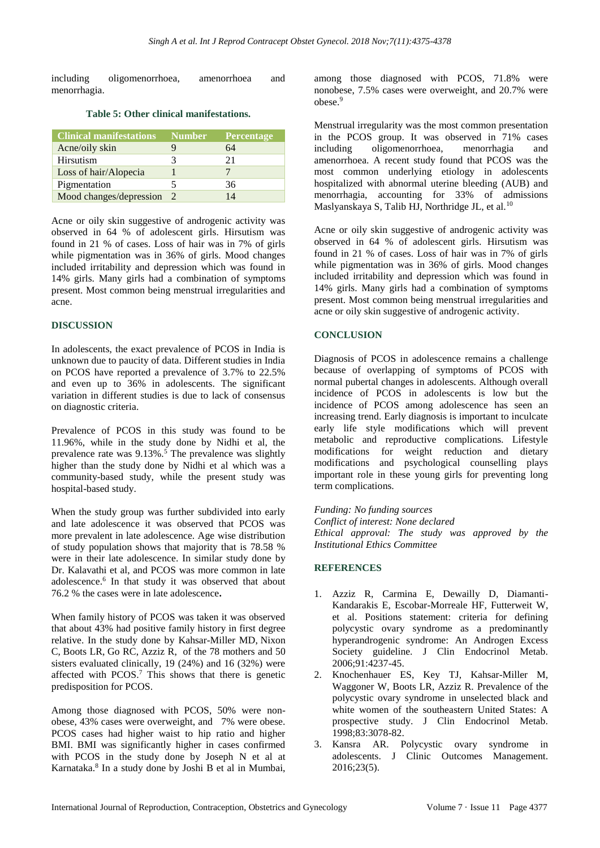including oligomenorrhoea, amenorrhoea and menorrhagia.

| <b>Clinical manifestations</b> | <b>Number</b> | <b>Percentage</b> |
|--------------------------------|---------------|-------------------|
| Acne/oily skin                 |               | 64                |
| Hirsutism                      |               | 21                |
| Loss of hair/Alopecia          |               |                   |
| Pigmentation                   |               | 36                |
| Mood changes/depression        | -2            | 14                |

#### **Table 5: Other clinical manifestations.**

Acne or oily skin suggestive of androgenic activity was observed in 64 % of adolescent girls. Hirsutism was found in 21 % of cases. Loss of hair was in 7% of girls while pigmentation was in 36% of girls. Mood changes included irritability and depression which was found in 14% girls. Many girls had a combination of symptoms present. Most common being menstrual irregularities and acne.

#### **DISCUSSION**

In adolescents, the exact prevalence of PCOS in India is unknown due to paucity of data. Different studies in India on PCOS have reported a prevalence of 3.7% to 22.5% and even up to 36% in adolescents. The significant variation in different studies is due to lack of consensus on diagnostic criteria.

Prevalence of PCOS in this study was found to be 11.96%, while in the study done by Nidhi et al, the prevalence rate was 9.13%.<sup>5</sup> The prevalence was slightly higher than the study done by Nidhi et al which was a community-based study, while the present study was hospital-based study.

When the study group was further subdivided into early and late adolescence it was observed that PCOS was more prevalent in late adolescence. Age wise distribution of study population shows that majority that is 78.58 % were in their late adolescence. In similar study done by Dr. Kalavathi et al, and PCOS was more common in late adolescence. 6 In that study it was observed that about 76.2 % the cases were in late adolescence**.**

When family history of PCOS was taken it was observed that about 43% had positive family history in first degree relative. In the study done by [Kahsar-Miller MD,](https://www.ncbi.nlm.nih.gov/pubmed/?term=Kahsar-Miller%20MD%5BAuthor%5D&cauthor=true&cauthor_uid=11163816) [Nixon](https://www.ncbi.nlm.nih.gov/pubmed/?term=Nixon%20C%5BAuthor%5D&cauthor=true&cauthor_uid=11163816)  [C,](https://www.ncbi.nlm.nih.gov/pubmed/?term=Nixon%20C%5BAuthor%5D&cauthor=true&cauthor_uid=11163816) [Boots LR,](https://www.ncbi.nlm.nih.gov/pubmed/?term=Boots%20LR%5BAuthor%5D&cauthor=true&cauthor_uid=11163816) [Go RC,](https://www.ncbi.nlm.nih.gov/pubmed/?term=Go%20RC%5BAuthor%5D&cauthor=true&cauthor_uid=11163816) [Azziz R,](https://www.ncbi.nlm.nih.gov/pubmed/?term=Azziz%20R%5BAuthor%5D&cauthor=true&cauthor_uid=11163816) of the 78 mothers and 50 sisters evaluated clinically, 19 (24%) and 16 (32%) were affected with PCOS.<sup>7</sup> This shows that there is genetic predisposition for PCOS.

Among those diagnosed with PCOS, 50% were nonobese, 43% cases were overweight, and 7% were obese. PCOS cases had higher waist to hip ratio and higher BMI. BMI was significantly higher in cases confirmed with PCOS in the study done by Joseph N et al at Karnataka. 8 In a study done by Joshi B et al in Mumbai, among those diagnosed with PCOS, 71.8% were nonobese, 7.5% cases were overweight, and 20.7% were obese.<sup>9</sup>

Menstrual irregularity was the most common presentation in the PCOS group. It was observed in 71% cases including oligomenorrhoea, menorrhagia and amenorrhoea. A recent study found that PCOS was the most common underlying etiology in adolescents hospitalized with abnormal uterine bleeding (AUB) and menorrhagia, accounting for 33% of admissions Maslyanskaya S, Talib HJ, Northridge JL, et al.<sup>10</sup>

Acne or oily skin suggestive of androgenic activity was observed in 64 % of adolescent girls. Hirsutism was found in 21 % of cases. Loss of hair was in 7% of girls while pigmentation was in 36% of girls. Mood changes included irritability and depression which was found in 14% girls. Many girls had a combination of symptoms present. Most common being menstrual irregularities and acne or oily skin suggestive of androgenic activity.

#### **CONCLUSION**

Diagnosis of PCOS in adolescence remains a challenge because of overlapping of symptoms of PCOS with normal pubertal changes in adolescents. Although overall incidence of PCOS in adolescents is low but the incidence of PCOS among adolescence has seen an increasing trend. Early diagnosis is important to inculcate early life style modifications which will prevent metabolic and reproductive complications. Lifestyle modifications for weight reduction and dietary modifications and psychological counselling plays important role in these young girls for preventing long term complications.

*Funding: No funding sources Conflict of interest: None declared Ethical approval: The study was approved by the Institutional Ethics Committee*

## **REFERENCES**

- 1. Azziz R, Carmina E, Dewailly D, Diamanti-Kandarakis E, Escobar-Morreale HF, Futterweit W, et al. Positions statement: criteria for defining polycystic ovary syndrome as a predominantly hyperandrogenic syndrome: An Androgen Excess Society guideline. J Clin Endocrinol Metab. 2006;91:4237-45.
- 2. Knochenhauer ES, Key TJ, Kahsar-Miller M, Waggoner W, Boots LR, Azziz R. Prevalence of the polycystic ovary syndrome in unselected black and white women of the southeastern United States: A prospective study. J Clin Endocrinol Metab. 1998;83:3078-82.
- 3. Kansra AR. Polycystic ovary syndrome in adolescents. J Clinic Outcomes Management. 2016;23(5).